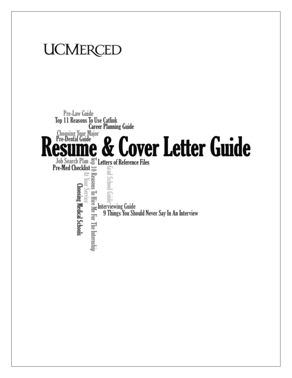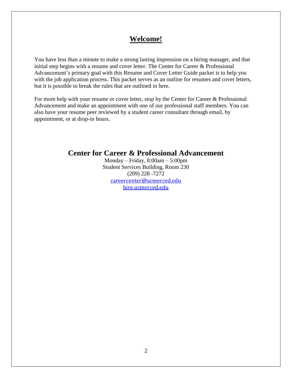# **Welcome!**

You have less than a minute to make a strong lasting impression on a hiring manager, and that initial step begins with a resume and cover letter. The Center for Career & Professional Advancement's primary goal with this Resume and Cover Letter Guide packet is to help you with the job application process. This packet serves as an outline for resumes and cover letters, but it is possible to break the rules that are outlined in here.

For more help with your resume or cover letter, stop by the Center for Career & Professional Advancement and make an appointment with one of our professional staff members. You can also have your resume peer reviewed by a student career consultant through email, by appointment, or at drop-in hours.

# **Center for Career & Professional Advancement**

Monday – Friday, 8:00am – 5:00pm Student Services Building, Room 230 (209) 228 -7272 [careercenter@ucmerced.edu](mailto:careercenter@ucmerced.edu) [hire.ucmerced.edu](http://www.hire.ucmerced.edu/)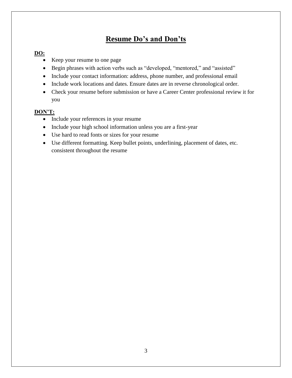# **Resume Do's and Don'ts**

### **DO:**

- Keep your resume to one page
- Begin phrases with action verbs such as "developed, "mentored," and "assisted"
- Include your contact information: address, phone number, and professional email
- Include work locations and dates. Ensure dates are in reverse chronological order.
- Check your resume before submission or have a Career Center professional review it for you

## **DON'T:**

- Include your references in your resume
- Include your high school information unless you are a first-year
- Use hard to read fonts or sizes for your resume
- Use different formatting. Keep bullet points, underlining, placement of dates, etc. consistent throughout the resume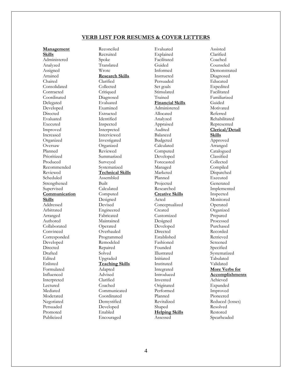#### **VERB LIST FOR RESUMES & COVER LETTERS**

**Management Skills** Administered Analyzed Assigned Attained Chaired Consolidated Contracted Coordinated Delegated Developed Directed Evaluated Executed Improved Increased Organized Oversaw Planned Prioritized Produced Recommended Reviewed Scheduled Strengthened Supervised **Communication Skills** Addressed Arbitrated Arranged Authored Collaborated Convinced Corresponded Developed **Directed** Drafted Edited Enlisted Formulated Influenced Interpreted Lectured Mediated Moderated Negotiated Persuaded Promoted Publicized

Reconciled Recruited Spoke Translated Wrote **Research Skills** Clarified Collected **Critiqued** Diagnosed Evaluated Examined Extracted Identified Inspected Interpreted Interviewed Investigated Organized Reviewed Summarized Surveyed Systematized **Technical Skills** Assembled Built Calculated Computed Designed Devised Engineered Fabricated Maintained Operated Overhauled Programmed Remodeled Repaired Solved Upgraded **Teaching Skills** Adapted Advised Clarified Coached Communicated Coordinated Demystified Developed Enabled Encouraged

Evaluated Explained Facilitated Guided Informed Instructed Persuaded Set goals Stimulated Trained **Financial Skills** Administered Allocated Analyzed Appraised Audited Balanced Budgeted Calculated Computed Developed Forecasted Managed Marketed Planned Projected Researched **Creative Skills** Acted Conceptualized Created Customized Designed Developed Directed Established Fashioned Founded Illustrated Initiated **Instituted** Integrated Introduced Invented Originated Performed Planned Revitalized Shaped **Helping Skills** Assessed

Assisted Clarified Coached Counseled Demonstrated Diagnosed Educated Expedited Facilitated Familiarized Guided Motivated Referred Rehabilitated Represented **Clerical/Detail Skills** Approved Arranged Catalogued Classified Collected Compiled Dispatched Executed Generated Implemented Inspected Monitored Operated Organized Prepared Processed Purchased Recorded Retrieved Screened Specified Systematized Tabulated Validated **More Verbs for Accomplishments** Achieved Expanded Improved Pioneered Reduced (losses) Resolved Restored Spearheaded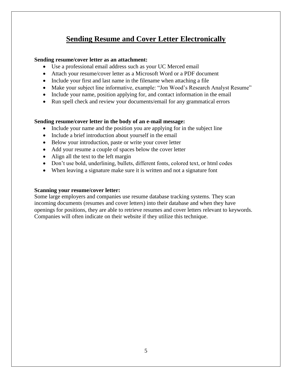# **Sending Resume and Cover Letter Electronically**

### **Sending resume/cover letter as an attachment:**

- Use a professional email address such as your UC Merced email
- Attach your resume/cover letter as a Microsoft Word or a PDF document
- Include your first and last name in the filename when attaching a file
- Make your subject line informative, example: "Jon Wood's Research Analyst Resume"
- Include your name, position applying for, and contact information in the email
- Run spell check and review your documents/email for any grammatical errors

#### **Sending resume/cover letter in the body of an e-mail message:**

- Include your name and the position you are applying for in the subject line
- Include a brief introduction about yourself in the email
- Below your introduction, paste or write your cover letter
- Add your resume a couple of spaces below the cover letter
- Align all the text to the left margin
- Don't use bold, underlining, bullets, different fonts, colored text, or html codes
- When leaving a signature make sure it is written and not a signature font

#### **Scanning your resume/cover letter:**

Some large employers and companies use resume database tracking systems. They scan incoming documents (resumes and cover letters) into their database and when they have openings for positions, they are able to retrieve resumes and cover letters relevant to keywords. Companies will often indicate on their website if they utilize this technique.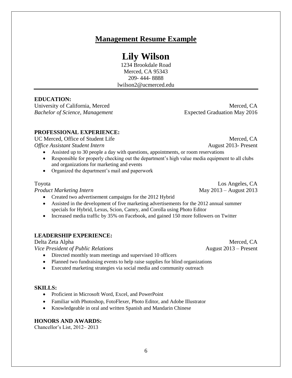# **Lily Wilson**

**Management Resume Example**

1234 Brookdale Road Merced, CA 95343 209- 444- 8888 lwilson2@ucmerced.edu

# **EDUCATION:**

University of California, Merced Merced, CA *Bachelor of Science, Management* **Expected Graduation May 2016** 

## **PROFESSIONAL EXPERIENCE:**

UC Merced, Office of Student Life Merced, CA *Office Assistant Student Intern* August 2013- Present

- Assisted up to 30 people a day with questions, appointments, or room reservations
- Responsible for properly checking out the department's high value media equipment to all clubs and organizations for marketing and events
- Organized the department's mail and paperwork

*Product Marketing Intern* May 2013 – August 2013

- Created two advertisement campaigns for the 2012 Hybrid
- Assisted in the development of five marketing advertisements for the 2012 annual summer specials for Hybrid, Lexus, Scion, Camry, and Corolla using Photo Editor
- Increased media traffic by 35% on Facebook, and gained 150 more followers on Twitter

## **LEADERSHIP EXPERIENCE:**

*Vice President of Public Relations* **August 2013** – Present

- Directed monthly team meetings and supervised 10 officers
- Planned two fundraising events to help raise supplies for blind organizations
- Executed marketing strategies via social media and community outreach

### **SKILLS:**

- Proficient in Microsoft Word, Excel, and PowerPoint
- Familiar with Photoshop, FotoFlexer, Photo Editor, and Adobe Illustrator
- Knowledgeable in oral and written Spanish and Mandarin Chinese

### **HONORS AND AWARDS:**

Chancellor's List, 2012– 2013

Toyota Los Angeles, CA

Delta Zeta Alpha Merced, CA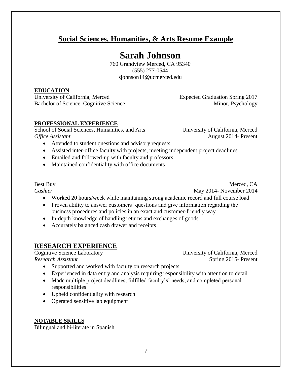# **Social Sciences, Humanities, & Arts Resume Example**

# **Sarah Johnson**

760 Grandview Merced, CA 95340 (555) 277-0544 [sjohnson14@ucmerced.edu](mailto:sjohnson14@ucmerced.edu)

## **EDUCATION**

University of California, Merced **Expected Graduation Spring 2017** Bachelor of Science, Cognitive Science Minor, Psychology

## **PROFESSIONAL EXPERIENCE**

School of Social Sciences, Humanities, and Arts University of California, Merced *Office Assistant* August 2014- Present

- Attended to student questions and advisory requests
- Assisted inter-office faculty with projects, meeting independent project deadlines
- Emailed and followed-up with faculty and professors
- Maintained confidentiality with office documents

Best Buy Merced, CA *Cashier* May 2014- November 2014

- Worked 20 hours/week while maintaining strong academic record and full course load
- Proven ability to answer customers' questions and give information regarding the business procedures and policies in an exact and customer-friendly way
- In-depth knowledge of handling returns and exchanges of goods
- Accurately balanced cash drawer and receipts

# **RESEARCH EXPERIENCE**

Cognitive Science Laboratory University of California, Merced *Research Assistant* Spring 2015- Present

- Supported and worked with faculty on research projects
- Experienced in data entry and analysis requiring responsibility with attention to detail
- Made multiple project deadlines, fulfilled faculty's' needs, and completed personal responsibilities
- Upheld confidentiality with research
- Operated sensitive lab equipment

### **NOTABLE SKILLS**

Bilingual and bi-literate in Spanish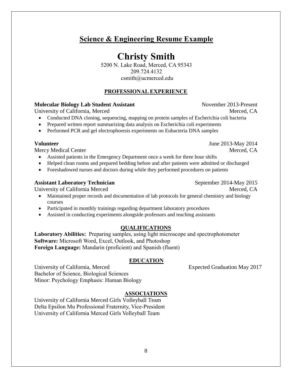# **Science & Engineering Resume Example**

# **Christy Smith**

5200 N. Lake Road, Merced, CA 95343 209.724.4132 csmith@ucmerced.edu

### **PROFESSIONAL EXPERIENCE**

### **Molecular Biology Lab Student Assistant** November 2013-Present

University of California, Merced Merced, CA

- Conducted DNA cloning, sequencing, mapping on protein samples of Escherichia coli bacteria
- Prepared written report summarizing data analysis on Escherichia coli experiments
- Performed PCR and gel electrophoresis experiments on Eubacteria DNA samples

Mercy Medical Center and the state of the Merced, CA and Merced, CA and Merced, CA and Merced, CA

- Assisted patients in the Emergency Department once a week for three hour shifts
- Helped clean rooms and prepared bedding before and after patients were admitted or discharged
- Foreshadowed nurses and doctors during while they performed procedures on patients

#### **Assistant Laboratory Technician** September 2014-May 2015

University of California Merced Merced, CA

- Maintained proper records and documentation of lab protocols for general chemistry and biology courses
- Participated in monthly trainings regarding department laboratory procedures
- Assisted in conducting experiments alongside professors and teaching assistants

#### **QUALIFICATIONS**

**Laboratory Abilities:** Preparing samples, using light microscope and spectrophotometer **Software:** Microsoft Word, Excel, Outlook, and Photoshop **Foreign Language:** Mandarin (proficient) and Spanish (fluent)

#### **EDUCATION**

University of California, Merced **Expected Graduation May 2017** Bachelor of Science, Biological Sciences Minor: Psychology Emphasis: Human Biology

### **ASSOCIATIONS**

University of California Merced Girls Volleyball Team Delta Epsilon Mu Professional Fraternity, Vice-President University of California Merced Girls Volleyball Team

**Volunteer** June 2013-May 2014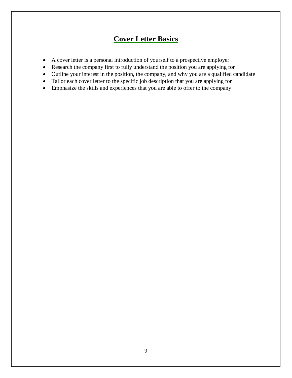# **Cover Letter Basics**

- A cover letter is a personal introduction of yourself to a prospective employer
- Research the company first to fully understand the position you are applying for
- Outline your interest in the position, the company, and why you are a qualified candidate
- Tailor each cover letter to the specific job description that you are applying for
- Emphasize the skills and experiences that you are able to offer to the company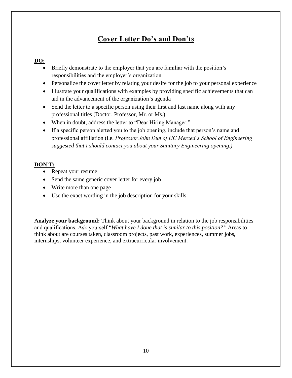# **Cover Letter Do's and Don'ts**

### **DO:**

- Briefly demonstrate to the employer that you are familiar with the position's responsibilities and the employer's organization
- Personalize the cover letter by relating your desire for the job to your personal experience
- Illustrate your qualifications with examples by providing specific achievements that can aid in the advancement of the organization's agenda
- Send the letter to a specific person using their first and last name along with any professional titles (Doctor, Professor, Mr. or Ms.)
- When in doubt, address the letter to "Dear Hiring Manager:"
- If a specific person alerted you to the job opening, include that person's name and professional affiliation (i.e. *Professor John Dun of UC Merced's School of Engineering suggested that I should contact you about your Sanitary Engineering opening.)*

### **DON'T:**

- Repeat your resume
- Send the same generic cover letter for every job
- Write more than one page
- Use the exact wording in the job description for your skills

**Analyze your background:** Think about your background in relation to the job responsibilities and qualifications. Ask yourself "*What have I done that is similar to this position?"* Areas to think about are courses taken, classroom projects, past work, experiences, summer jobs, internships, volunteer experience, and extracurricular involvement.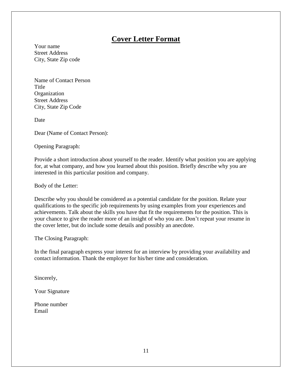# **Cover Letter Format**

Your name Street Address City, State Zip code

Name of Contact Person **Title Organization** Street Address City, State Zip Code

**Date** 

Dear (Name of Contact Person):

Opening Paragraph:

Provide a short introduction about yourself to the reader. Identify what position you are applying for, at what company, and how you learned about this position. Briefly describe why you are interested in this particular position and company.

Body of the Letter:

Describe why you should be considered as a potential candidate for the position. Relate your qualifications to the specific job requirements by using examples from your experiences and achievements. Talk about the skills you have that fit the requirements for the position. This is your chance to give the reader more of an insight of who you are. Don't repeat your resume in the cover letter, but do include some details and possibly an anecdote.

The Closing Paragraph:

In the final paragraph express your interest for an interview by providing your availability and contact information. Thank the employer for his/her time and consideration.

Sincerely,

Your Signature

Phone number Email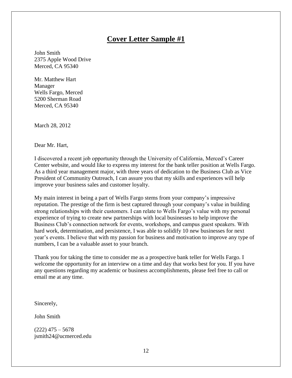# **Cover Letter Sample #1**

John Smith 2375 Apple Wood Drive Merced, CA 95340

Mr. Matthew Hart Manager Wells Fargo, Merced 5200 Sherman Road Merced, CA 95340

March 28, 2012

Dear Mr. Hart,

I discovered a recent job opportunity through the University of California, Merced's Career Center website, and would like to express my interest for the bank teller position at Wells Fargo. As a third year management major, with three years of dedication to the Business Club as Vice President of Community Outreach, I can assure you that my skills and experiences will help improve your business sales and customer loyalty.

My main interest in being a part of Wells Fargo stems from your company's impressive reputation. The prestige of the firm is best captured through your company's value in building strong relationships with their customers. I can relate to Wells Fargo's value with my personal experience of trying to create new partnerships with local businesses to help improve the Business Club's connection network for events, workshops, and campus guest speakers. With hard work, determination, and persistence, I was able to solidify 10 new businesses for next year's events. I believe that with my passion for business and motivation to improve any type of numbers, I can be a valuable asset to your branch.

Thank you for taking the time to consider me as a prospective bank teller for Wells Fargo. I welcome the opportunity for an interview on a time and day that works best for you. If you have any questions regarding my academic or business accomplishments, please feel free to call or email me at any time.

Sincerely,

John Smith

 $(222)$  475 – 5678 jsmith24@ucmerced.edu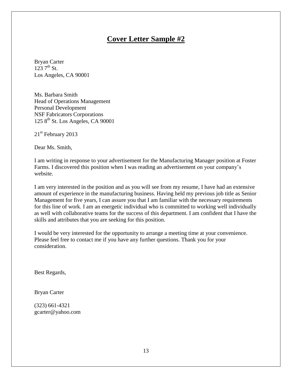# **Cover Letter Sample #2**

Bryan Carter  $123 \, 7^{th}$  St. Los Angeles, CA 90001

Ms. Barbara Smith Head of Operations Management Personal Development NSF Fabricators Corporations  $1258<sup>th</sup>$  St. Los Angeles, CA 90001

21<sup>st</sup> February 2013

Dear Ms. Smith,

I am writing in response to your advertisement for the Manufacturing Manager position at Foster Farms. I discovered this position when I was reading an advertisement on your company's website.

I am very interested in the position and as you will see from my resume, I have had an extensive amount of experience in the manufacturing business. Having held my previous job title as Senior Management for five years, I can assure you that I am familiar with the necessary requirements for this line of work. I am an energetic individual who is committed to working well individually as well with collaborative teams for the success of this department. I am confident that I have the skills and attributes that you are seeking for this position.

I would be very interested for the opportunity to arrange a meeting time at your convenience. Please feel free to contact me if you have any further questions. Thank you for your consideration.

Best Regards,

Bryan Carter

(323) 661-4321 [gcarter@yahoo.com](mailto:gcarter@yahoo.com)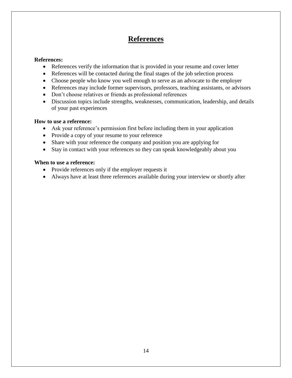# **References**

### **References:**

- References verify the information that is provided in your resume and cover letter
- References will be contacted during the final stages of the job selection process
- Choose people who know you well enough to serve as an advocate to the employer
- References may include former supervisors, professors, teaching assistants, or advisors
- Don't choose relatives or friends as professional references
- Discussion topics include strengths, weaknesses, communication, leadership, and details of your past experiences

#### **How to use a reference:**

- Ask your reference's permission first before including them in your application
- Provide a copy of your resume to your reference
- Share with your reference the company and position you are applying for
- Stay in contact with your references so they can speak knowledgeably about you

### **When to use a reference:**

- Provide references only if the employer requests it
- Always have at least three references available during your interview or shortly after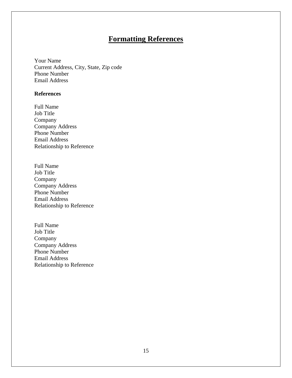# **Formatting References**

Your Name Current Address, City, State, Zip code Phone Number Email Address

#### **References**

- Full Name Job Title Company Company Address Phone Number Email Address Relationship to Reference
- Full Name Job Title Company Company Address Phone Number Email Address Relationship to Reference
- Full Name Job Title Company Company Address Phone Number Email Address Relationship to Reference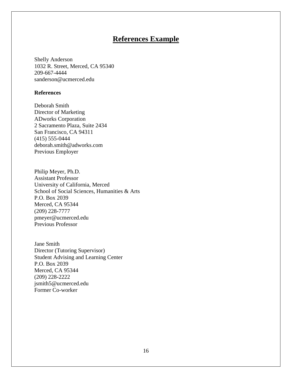# **References Example**

Shelly Anderson 1032 R. Street, Merced, CA 95340 209-667-4444 sanderson@ucmerced.edu

#### **References**

Deborah Smith Director of Marketing ADworks Corporation 2 Sacramento Plaza, Suite 2434 San Francisco, CA 94311 (415) 555-0444 deborah.smith@adworks.com Previous Employer

Philip Meyer, Ph.D. Assistant Professor University of California, Merced School of Social Sciences, Humanities & Arts P.O. Box 2039 Merced, CA 95344 (209) 228-7777 pmeyer@ucmerced.edu Previous Professor

Jane Smith Director (Tutoring Supervisor) Student Advising and Learning Center P.O. Box 2039 Merced, CA 95344 (209) 228-2222 jsmith5@ucmerced.edu Former Co-worker